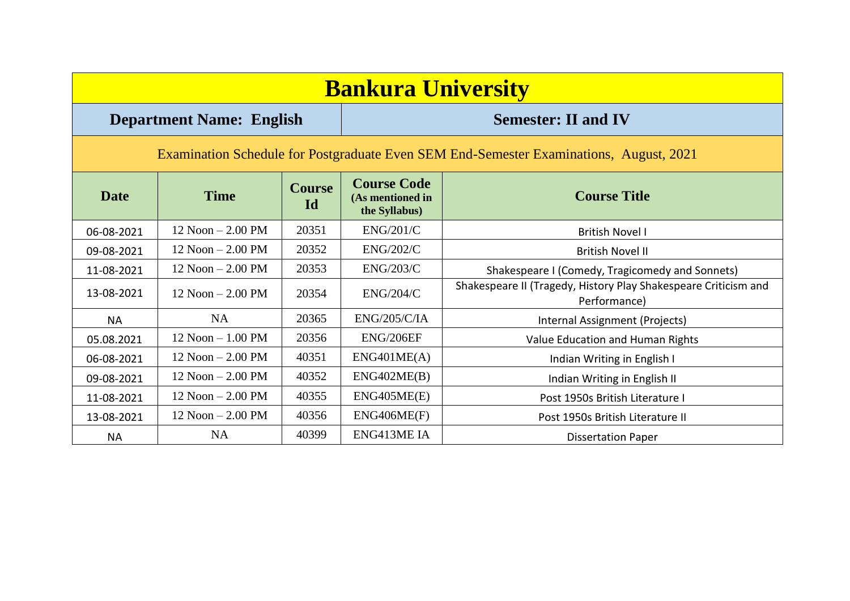| <b>Bankura University</b>                                                              |                                 |                     |                                                         |                                                                                 |  |  |  |  |
|----------------------------------------------------------------------------------------|---------------------------------|---------------------|---------------------------------------------------------|---------------------------------------------------------------------------------|--|--|--|--|
|                                                                                        | <b>Department Name: English</b> |                     | <b>Semester: II and IV</b>                              |                                                                                 |  |  |  |  |
| Examination Schedule for Postgraduate Even SEM End-Semester Examinations, August, 2021 |                                 |                     |                                                         |                                                                                 |  |  |  |  |
| <b>Date</b>                                                                            | <b>Time</b>                     | <b>Course</b><br>Id | <b>Course Code</b><br>(As mentioned in<br>the Syllabus) | <b>Course Title</b>                                                             |  |  |  |  |
| 06-08-2021                                                                             | $12$ Noon $- 2.00$ PM           | 20351               | <b>ENG/201/C</b>                                        | <b>British Novel I</b>                                                          |  |  |  |  |
| 09-08-2021                                                                             | $12$ Noon $- 2.00$ PM           | 20352               | <b>ENG/202/C</b>                                        | <b>British Novel II</b>                                                         |  |  |  |  |
| 11-08-2021                                                                             | $12$ Noon $- 2.00$ PM           | 20353               | ENG/203/C                                               | Shakespeare I (Comedy, Tragicomedy and Sonnets)                                 |  |  |  |  |
| 13-08-2021                                                                             | $12$ Noon $- 2.00$ PM           | 20354               | ENG/204/C                                               | Shakespeare II (Tragedy, History Play Shakespeare Criticism and<br>Performance) |  |  |  |  |
| <b>NA</b>                                                                              | NA                              | 20365               | <b>ENG/205/C/IA</b>                                     | Internal Assignment (Projects)                                                  |  |  |  |  |
| 05.08.2021                                                                             | $12$ Noon $-1.00$ PM            | 20356               | ENG/206EF                                               | Value Education and Human Rights                                                |  |  |  |  |
| 06-08-2021                                                                             | $12$ Noon $- 2.00$ PM           | 40351               | ENG401ME(A)                                             | Indian Writing in English I                                                     |  |  |  |  |
| 09-08-2021                                                                             | $12$ Noon $- 2.00$ PM           | 40352               | ENG402ME(B)                                             | Indian Writing in English II                                                    |  |  |  |  |
| 11-08-2021                                                                             | $12$ Noon $- 2.00$ PM           | 40355               | ENG405ME(E)                                             | Post 1950s British Literature I                                                 |  |  |  |  |
| 13-08-2021                                                                             | $12$ Noon $- 2.00$ PM           | 40356               | ENG406ME(F)                                             | Post 1950s British Literature II                                                |  |  |  |  |
| <b>NA</b>                                                                              | <b>NA</b>                       | 40399               | ENG413ME IA                                             | <b>Dissertation Paper</b>                                                       |  |  |  |  |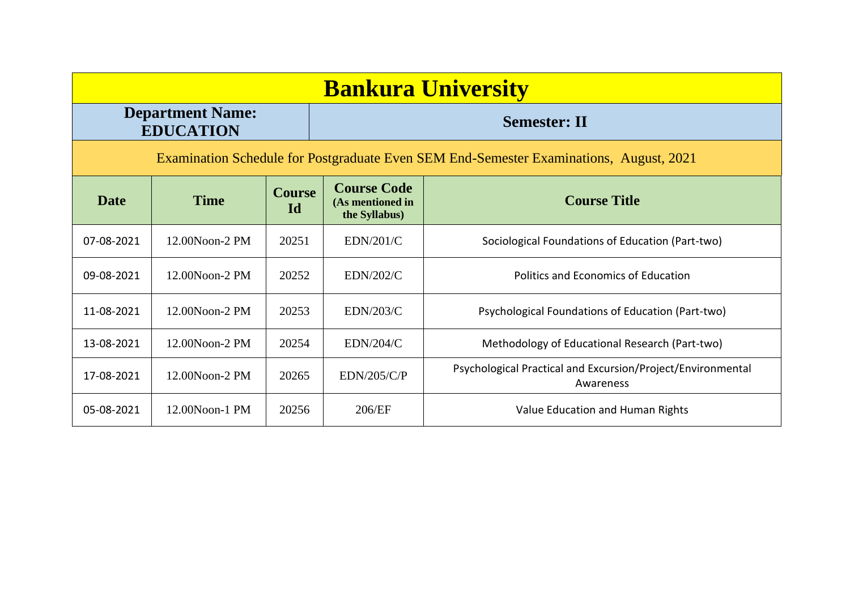| <b>Bankura University</b>                                                              |                                             |                     |                                                         |                                                                          |  |  |  |
|----------------------------------------------------------------------------------------|---------------------------------------------|---------------------|---------------------------------------------------------|--------------------------------------------------------------------------|--|--|--|
|                                                                                        | <b>Department Name:</b><br><b>EDUCATION</b> |                     |                                                         | <b>Semester: II</b>                                                      |  |  |  |
| Examination Schedule for Postgraduate Even SEM End-Semester Examinations, August, 2021 |                                             |                     |                                                         |                                                                          |  |  |  |
| <b>Date</b>                                                                            | <b>Time</b>                                 | <b>Course</b><br>Id | <b>Course Code</b><br>(As mentioned in<br>the Syllabus) | <b>Course Title</b>                                                      |  |  |  |
| 07-08-2021                                                                             | 12.00Noon-2 PM                              | 20251               | EDN/201/C                                               | Sociological Foundations of Education (Part-two)                         |  |  |  |
| 09-08-2021                                                                             | $12.00N$ oon- $2$ PM                        | 20252               | EDN/202/C                                               | Politics and Economics of Education                                      |  |  |  |
| 11-08-2021                                                                             | 12.00Noon-2 PM                              | 20253               | <b>EDN/203/C</b>                                        | Psychological Foundations of Education (Part-two)                        |  |  |  |
| 13-08-2021                                                                             | 12.00Noon-2 PM                              | 20254               | EDN/204/C                                               | Methodology of Educational Research (Part-two)                           |  |  |  |
| 17-08-2021                                                                             | 12.00Noon-2 PM                              | 20265               | EDN/205/C/P                                             | Psychological Practical and Excursion/Project/Environmental<br>Awareness |  |  |  |
| 05-08-2021                                                                             | 12.00Noon-1 PM                              | 20256               | 206/EF                                                  | Value Education and Human Rights                                         |  |  |  |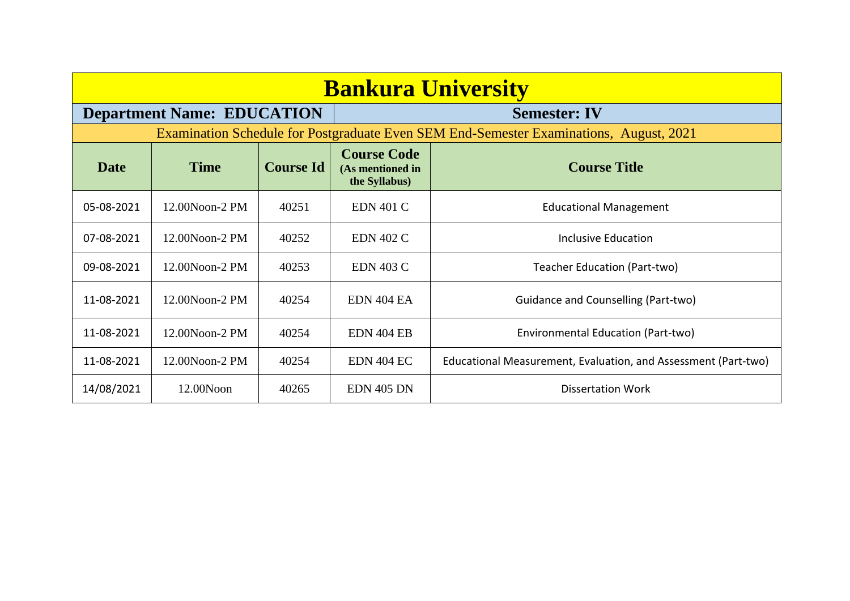| <b>Bankura University</b> |                                   |                  |                                                         |                                                                                        |  |  |  |
|---------------------------|-----------------------------------|------------------|---------------------------------------------------------|----------------------------------------------------------------------------------------|--|--|--|
|                           | <b>Department Name: EDUCATION</b> |                  |                                                         | <b>Semester: IV</b>                                                                    |  |  |  |
|                           |                                   |                  |                                                         | Examination Schedule for Postgraduate Even SEM End-Semester Examinations, August, 2021 |  |  |  |
| <b>Date</b>               | <b>Time</b>                       | <b>Course Id</b> | <b>Course Code</b><br>(As mentioned in<br>the Syllabus) | <b>Course Title</b>                                                                    |  |  |  |
| 05-08-2021                | 12.00Noon-2 PM                    | 40251            | <b>EDN 401 C</b>                                        | <b>Educational Management</b>                                                          |  |  |  |
| 07-08-2021                | 12.00Noon-2 PM                    | 40252            | <b>EDN 402 C</b>                                        | Inclusive Education                                                                    |  |  |  |
| 09-08-2021                | 12.00Noon-2 PM                    | 40253            | <b>EDN 403 C</b>                                        | Teacher Education (Part-two)                                                           |  |  |  |
| 11-08-2021                | 12.00Noon-2 PM                    | 40254            | EDN 404 EA                                              | Guidance and Counselling (Part-two)                                                    |  |  |  |
| 11-08-2021                | 12.00Noon-2 PM                    | 40254            | <b>EDN 404 EB</b>                                       | Environmental Education (Part-two)                                                     |  |  |  |
| 11-08-2021                | 12.00Noon-2 PM                    | 40254            | <b>EDN 404 EC</b>                                       | Educational Measurement, Evaluation, and Assessment (Part-two)                         |  |  |  |
| 14/08/2021                | 12.00Noon                         | 40265            | <b>EDN 405 DN</b>                                       | <b>Dissertation Work</b>                                                               |  |  |  |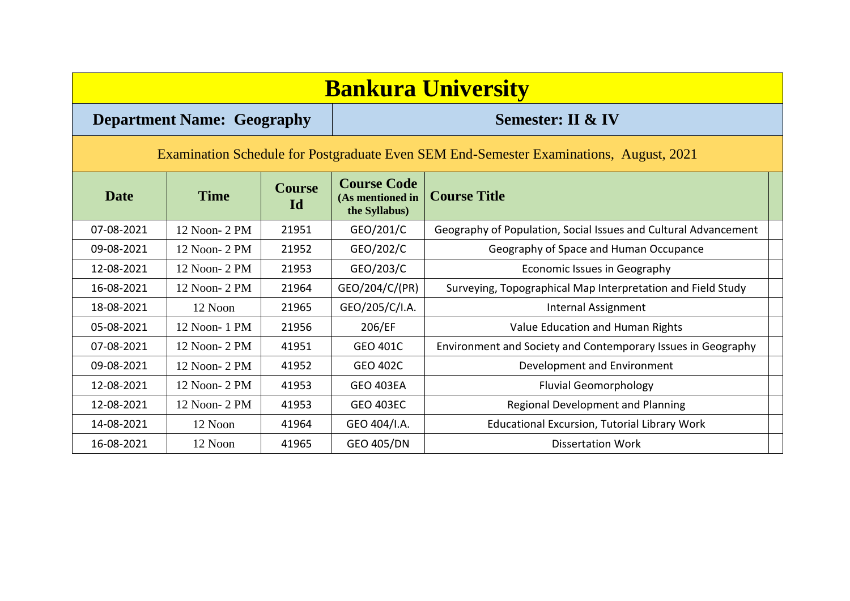| <b>Bankura University</b>                                                              |               |                     |                                                         |                                                                 |  |  |  |  |  |
|----------------------------------------------------------------------------------------|---------------|---------------------|---------------------------------------------------------|-----------------------------------------------------------------|--|--|--|--|--|
| <b>Semester: II &amp; IV</b><br><b>Department Name: Geography</b>                      |               |                     |                                                         |                                                                 |  |  |  |  |  |
| Examination Schedule for Postgraduate Even SEM End-Semester Examinations, August, 2021 |               |                     |                                                         |                                                                 |  |  |  |  |  |
| <b>Date</b>                                                                            | <b>Time</b>   | <b>Course</b><br>Id | <b>Course Code</b><br>(As mentioned in<br>the Syllabus) | <b>Course Title</b>                                             |  |  |  |  |  |
| 07-08-2021                                                                             | 12 Noon- 2 PM | 21951               | GEO/201/C                                               | Geography of Population, Social Issues and Cultural Advancement |  |  |  |  |  |
| 09-08-2021                                                                             | 12 Noon- 2 PM | 21952               | GEO/202/C                                               | Geography of Space and Human Occupance                          |  |  |  |  |  |
| 12-08-2021                                                                             | 12 Noon- 2 PM | 21953               | GEO/203/C                                               | Economic Issues in Geography                                    |  |  |  |  |  |
| 16-08-2021                                                                             | 12 Noon- 2 PM | 21964               | GEO/204/C/(PR)                                          | Surveying, Topographical Map Interpretation and Field Study     |  |  |  |  |  |
| 18-08-2021                                                                             | 12 Noon       | 21965               | GEO/205/C/I.A.                                          | <b>Internal Assignment</b>                                      |  |  |  |  |  |
| 05-08-2021                                                                             | 12 Noon-1 PM  | 21956               | 206/EF                                                  | Value Education and Human Rights                                |  |  |  |  |  |
| 07-08-2021                                                                             | 12 Noon- 2 PM | 41951               | <b>GEO 401C</b>                                         | Environment and Society and Contemporary Issues in Geography    |  |  |  |  |  |
| 09-08-2021                                                                             | 12 Noon- 2 PM | 41952               | <b>GEO 402C</b>                                         | Development and Environment                                     |  |  |  |  |  |
| 12-08-2021                                                                             | 12 Noon- 2 PM | 41953               | <b>GEO 403EA</b>                                        | <b>Fluvial Geomorphology</b>                                    |  |  |  |  |  |
| 12-08-2021                                                                             | 12 Noon- 2 PM | 41953               | <b>GEO 403EC</b>                                        | Regional Development and Planning                               |  |  |  |  |  |
| 14-08-2021                                                                             | 12 Noon       | 41964               | GEO 404/I.A.                                            | <b>Educational Excursion, Tutorial Library Work</b>             |  |  |  |  |  |
| 16-08-2021                                                                             | 12 Noon       | 41965               | <b>GEO 405/DN</b>                                       | <b>Dissertation Work</b>                                        |  |  |  |  |  |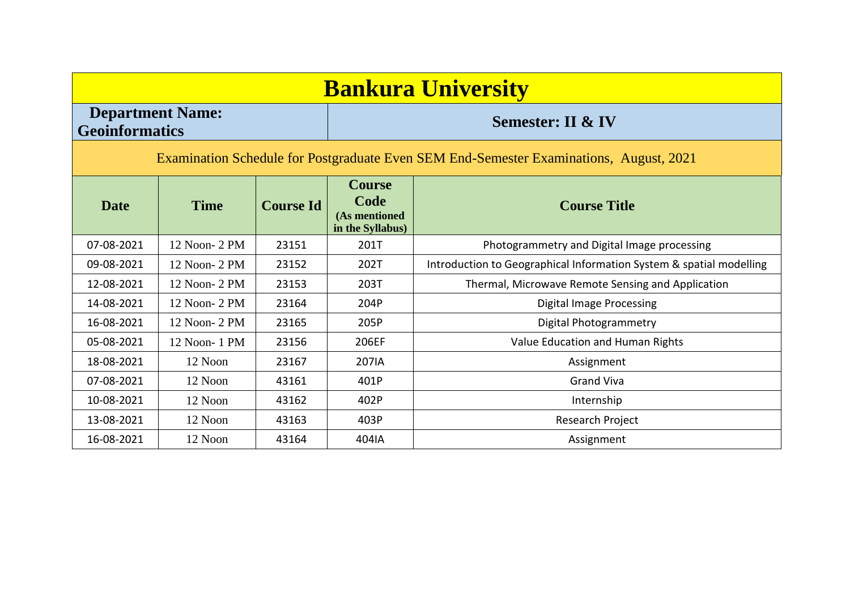## **Bankura University Department Name: Geoinformatics Semester: II & IV** Examination Schedule for Postgraduate Even SEM End-Semester Examinations, August, 2021 **Date Time Course Id Course Code (As mentioned in the Syllabus) Course Title** 07-08-2021  $\parallel$  12 Noon- 2 PM  $\parallel$  23151  $\parallel$  201T  $\parallel$  Photogrammetry and Digital Image processing 09-08-2021 | 12 Noon- 2 PM | 23152 | 202T | Introduction to Geographical Information System & spatial modelling 12-08-2021 | 12 Noon- 2 PM | 23153 | 203T | Thermal, Microwave Remote Sensing and Application 14-08-2021 | 12 Noon- 2 PM | 23164 | 204P | Digital Image Processing 16-08-2021 | 12 Noon- 2 PM | 23165 | 205P | Digital Photogrammetry 05-08-2021 | 12 Noon- 1 PM | 23156 | 206EF | Value Education and Human Rights 18-08-2021 12 Noon 23167 207IA Assignment 07-08-2021 12 Noon 43161 401P Grand Viva 10-08-2021 | 12 Noon | 43162 | 402P | 10-08-2021 | Internship 13-08-2021 | 12 Noon | 43163 | 403P | Research Project 16-08-2021 | 12 Noon | 43164 | 404IA | Assignment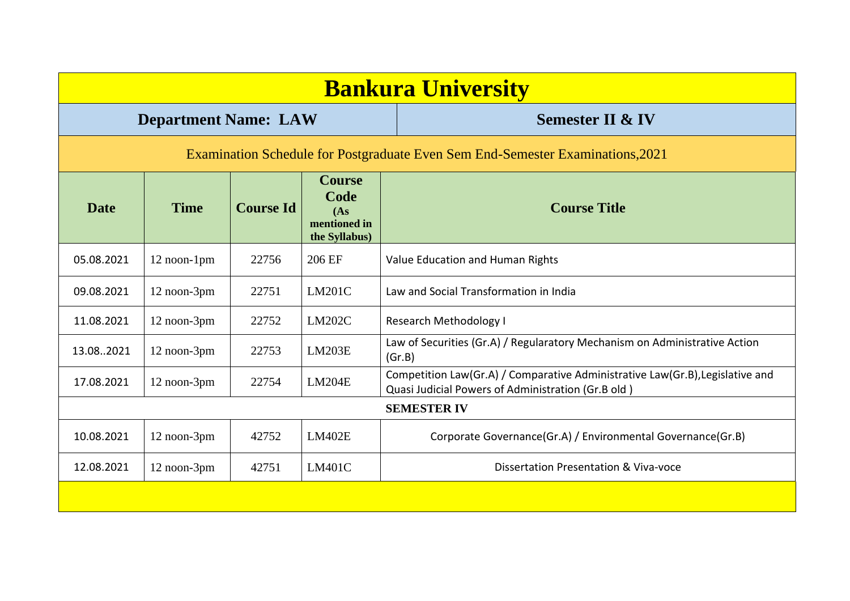|                                                                                | <b>Bankura University</b>   |                  |                                                                |                                                                                                                                     |  |  |  |  |
|--------------------------------------------------------------------------------|-----------------------------|------------------|----------------------------------------------------------------|-------------------------------------------------------------------------------------------------------------------------------------|--|--|--|--|
|                                                                                | <b>Department Name: LAW</b> |                  |                                                                | <b>Semester II &amp; IV</b>                                                                                                         |  |  |  |  |
| Examination Schedule for Postgraduate Even Sem End-Semester Examinations, 2021 |                             |                  |                                                                |                                                                                                                                     |  |  |  |  |
| <b>Date</b>                                                                    | <b>Time</b>                 | <b>Course Id</b> | <b>Course</b><br>Code<br>(As)<br>mentioned in<br>the Syllabus) | <b>Course Title</b>                                                                                                                 |  |  |  |  |
| 05.08.2021                                                                     | 12 noon-1pm                 | 22756            | 206 EF                                                         | Value Education and Human Rights                                                                                                    |  |  |  |  |
| 09.08.2021                                                                     | 12 noon-3pm                 | 22751            | LM201C                                                         | Law and Social Transformation in India                                                                                              |  |  |  |  |
| 11.08.2021                                                                     | 12 noon-3pm                 | 22752            | LM202C                                                         | Research Methodology I                                                                                                              |  |  |  |  |
| 13.082021                                                                      | 12 noon-3pm                 | 22753            | LM203E                                                         | Law of Securities (Gr.A) / Regularatory Mechanism on Administrative Action<br>(Gr.B)                                                |  |  |  |  |
| 17.08.2021                                                                     | 12 noon-3pm                 | 22754            | LM204E                                                         | Competition Law(Gr.A) / Comparative Administrative Law(Gr.B), Legislative and<br>Quasi Judicial Powers of Administration (Gr.B old) |  |  |  |  |
|                                                                                |                             |                  |                                                                | <b>SEMESTER IV</b>                                                                                                                  |  |  |  |  |
| 10.08.2021                                                                     | 12 noon-3pm                 | 42752            | LM402E                                                         | Corporate Governance(Gr.A) / Environmental Governance(Gr.B)                                                                         |  |  |  |  |
| 12.08.2021                                                                     | 12 noon-3pm                 | 42751            | <b>LM401C</b>                                                  | Dissertation Presentation & Viva-voce                                                                                               |  |  |  |  |
|                                                                                |                             |                  |                                                                |                                                                                                                                     |  |  |  |  |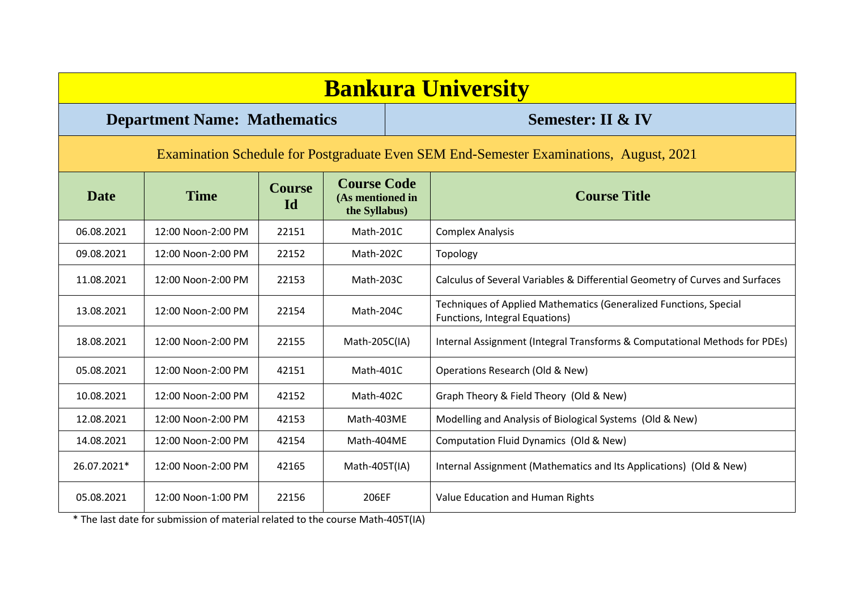| <b>Bankura University</b>                                                              |                                     |                            |                                                         |  |                                                                                                     |  |  |  |
|----------------------------------------------------------------------------------------|-------------------------------------|----------------------------|---------------------------------------------------------|--|-----------------------------------------------------------------------------------------------------|--|--|--|
|                                                                                        | <b>Department Name: Mathematics</b> |                            |                                                         |  | <b>Semester: II &amp; IV</b>                                                                        |  |  |  |
| Examination Schedule for Postgraduate Even SEM End-Semester Examinations, August, 2021 |                                     |                            |                                                         |  |                                                                                                     |  |  |  |
| <b>Date</b>                                                                            | <b>Time</b>                         | <b>Course</b><br><b>Id</b> | <b>Course Code</b><br>(As mentioned in<br>the Syllabus) |  | <b>Course Title</b>                                                                                 |  |  |  |
| 06.08.2021                                                                             | 12:00 Noon-2:00 PM                  | 22151                      | Math-201C                                               |  | <b>Complex Analysis</b>                                                                             |  |  |  |
| 09.08.2021                                                                             | 12:00 Noon-2:00 PM                  | 22152                      | Math-202C                                               |  | Topology                                                                                            |  |  |  |
| 11.08.2021                                                                             | 12:00 Noon-2:00 PM                  | 22153                      | Math-203C                                               |  | Calculus of Several Variables & Differential Geometry of Curves and Surfaces                        |  |  |  |
| 13.08.2021                                                                             | 12:00 Noon-2:00 PM                  | 22154                      | Math-204C                                               |  | Techniques of Applied Mathematics (Generalized Functions, Special<br>Functions, Integral Equations) |  |  |  |
| 18.08.2021                                                                             | 12:00 Noon-2:00 PM                  | 22155                      | Math-205C(IA)                                           |  | Internal Assignment (Integral Transforms & Computational Methods for PDEs)                          |  |  |  |
| 05.08.2021                                                                             | 12:00 Noon-2:00 PM                  | 42151                      | Math-401C                                               |  | Operations Research (Old & New)                                                                     |  |  |  |
| 10.08.2021                                                                             | 12:00 Noon-2:00 PM                  | 42152                      | Math-402C                                               |  | Graph Theory & Field Theory (Old & New)                                                             |  |  |  |
| 12.08.2021                                                                             | 12:00 Noon-2:00 PM                  | 42153                      | Math-403ME                                              |  | Modelling and Analysis of Biological Systems (Old & New)                                            |  |  |  |
| 14.08.2021                                                                             | 12:00 Noon-2:00 PM                  | 42154                      | Math-404ME                                              |  | Computation Fluid Dynamics (Old & New)                                                              |  |  |  |
| 26.07.2021*                                                                            | 12:00 Noon-2:00 PM                  | 42165                      | Math-405T(IA)                                           |  | Internal Assignment (Mathematics and Its Applications) (Old & New)                                  |  |  |  |
| 05.08.2021                                                                             | 12:00 Noon-1:00 PM                  | 22156                      | 206EF                                                   |  | Value Education and Human Rights                                                                    |  |  |  |

\* The last date for submission of material related to the course Math-405T(IA)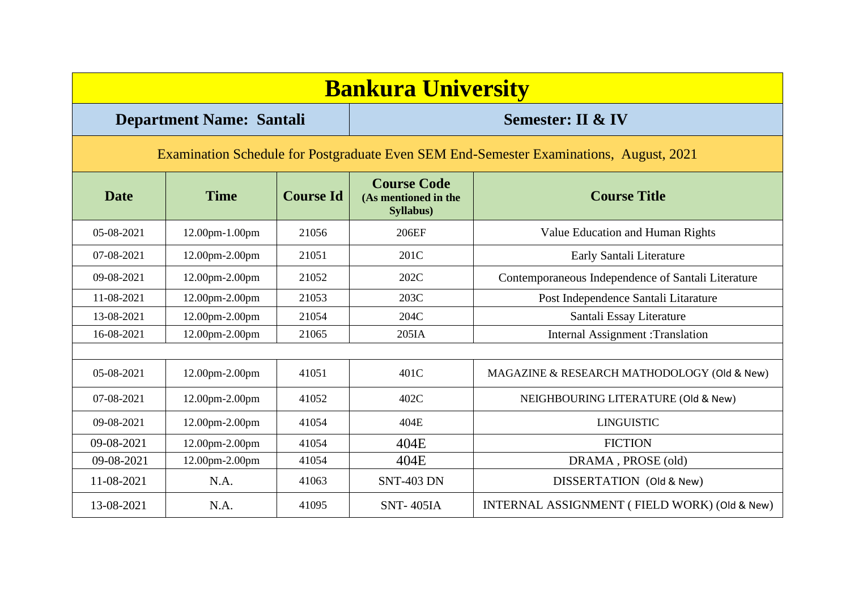| <b>Bankura University</b>                                                              |                                 |                  |                                                         |                                                    |  |  |  |  |  |
|----------------------------------------------------------------------------------------|---------------------------------|------------------|---------------------------------------------------------|----------------------------------------------------|--|--|--|--|--|
|                                                                                        | <b>Department Name: Santali</b> |                  |                                                         | <b>Semester: II &amp; IV</b>                       |  |  |  |  |  |
| Examination Schedule for Postgraduate Even SEM End-Semester Examinations, August, 2021 |                                 |                  |                                                         |                                                    |  |  |  |  |  |
| <b>Date</b>                                                                            | <b>Time</b>                     | <b>Course Id</b> | <b>Course Code</b><br>(As mentioned in the<br>Syllabus) | <b>Course Title</b>                                |  |  |  |  |  |
| 05-08-2021                                                                             | 12.00pm-1.00pm                  | 21056            | 206EF                                                   | Value Education and Human Rights                   |  |  |  |  |  |
| 07-08-2021                                                                             | 12.00pm-2.00pm                  | 21051            | 201C                                                    | Early Santali Literature                           |  |  |  |  |  |
| 09-08-2021                                                                             | 12.00pm-2.00pm                  | 21052            | 202C                                                    | Contemporaneous Independence of Santali Literature |  |  |  |  |  |
| 11-08-2021                                                                             | 12.00pm-2.00pm                  | 21053            | 203C                                                    | Post Independence Santali Litarature               |  |  |  |  |  |
| 13-08-2021                                                                             | 12.00pm-2.00pm                  | 21054            | 204C                                                    | Santali Essay Literature                           |  |  |  |  |  |
| 16-08-2021                                                                             | 12.00pm-2.00pm                  | 21065            | 205IA                                                   | Internal Assignment : Translation                  |  |  |  |  |  |
|                                                                                        |                                 |                  |                                                         |                                                    |  |  |  |  |  |
| 05-08-2021                                                                             | 12.00pm-2.00pm                  | 41051            | 401C                                                    | MAGAZINE & RESEARCH MATHODOLOGY (Old & New)        |  |  |  |  |  |
| 07-08-2021                                                                             | 12.00pm-2.00pm                  | 41052            | 402C                                                    | NEIGHBOURING LITERATURE (Old & New)                |  |  |  |  |  |
| 09-08-2021                                                                             | 12.00pm-2.00pm                  | 41054            | 404E                                                    | <b>LINGUISTIC</b>                                  |  |  |  |  |  |
| 09-08-2021                                                                             | 12.00pm-2.00pm                  | 41054            | 404E                                                    | <b>FICTION</b>                                     |  |  |  |  |  |
| 09-08-2021                                                                             | 12.00pm-2.00pm                  | 41054            | 404E                                                    | DRAMA, PROSE (old)                                 |  |  |  |  |  |
| 11-08-2021                                                                             | N.A.                            | 41063            | <b>SNT-403 DN</b>                                       | DISSERTATION (Old & New)                           |  |  |  |  |  |
| 13-08-2021                                                                             | N.A.                            | 41095            | <b>SNT-405IA</b>                                        | INTERNAL ASSIGNMENT (FIELD WORK) (Old & New)       |  |  |  |  |  |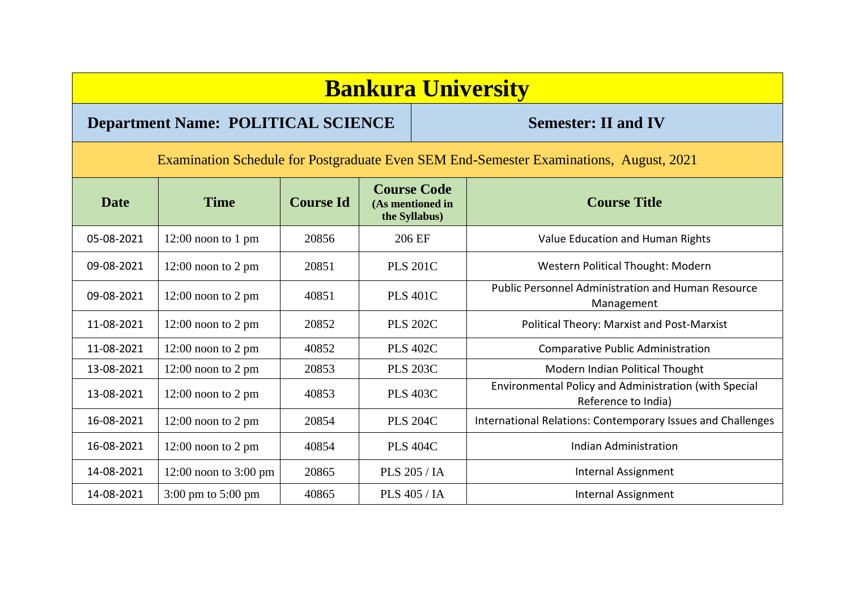## **Bankura University**

## **Department Name: POLITICAL SCIENCE** Semester: II and IV

Examination Schedule for Postgraduate Even SEM End-Semester Examinations, August, 2021

| <b>Date</b> | <b>Time</b>                            | <b>Course Id</b> | <b>Course Code</b><br>(As mentioned in<br>the Syllabus) | <b>Course Title</b>                                                          |
|-------------|----------------------------------------|------------------|---------------------------------------------------------|------------------------------------------------------------------------------|
| 05-08-2021  | $12:00$ noon to 1 pm                   | 20856            | 206 EF                                                  | Value Education and Human Rights                                             |
| 09-08-2021  | $12:00$ noon to 2 pm                   | 20851            | <b>PLS 201C</b>                                         | <b>Western Political Thought: Modern</b>                                     |
| 09-08-2021  | $12:00$ noon to $2$ pm                 | 40851            | <b>PLS 401C</b>                                         | <b>Public Personnel Administration and Human Resource</b><br>Management      |
| 11-08-2021  | $12:00$ noon to 2 pm                   | 20852            | <b>PLS 202C</b>                                         | <b>Political Theory: Marxist and Post-Marxist</b>                            |
| 11-08-2021  | $12:00$ noon to 2 pm                   | 40852            | <b>PLS 402C</b>                                         | <b>Comparative Public Administration</b>                                     |
| 13-08-2021  | $12:00$ noon to 2 pm                   | 20853            | <b>PLS 203C</b>                                         | Modern Indian Political Thought                                              |
| 13-08-2021  | $12:00$ noon to 2 pm                   | 40853            | <b>PLS 403C</b>                                         | Environmental Policy and Administration (with Special<br>Reference to India) |
| 16-08-2021  | $12:00$ noon to $2$ pm                 | 20854            | <b>PLS 204C</b>                                         | International Relations: Contemporary Issues and Challenges                  |
| 16-08-2021  | $12:00$ noon to 2 pm                   | 40854            | <b>PLS 404C</b>                                         | <b>Indian Administration</b>                                                 |
| 14-08-2021  | $12:00$ noon to $3:00$ pm              | 20865            | <b>PLS 205 / IA</b>                                     | Internal Assignment                                                          |
| 14-08-2021  | $3:00 \text{ pm}$ to $5:00 \text{ pm}$ | 40865            | <b>PLS 405 / IA</b>                                     | Internal Assignment                                                          |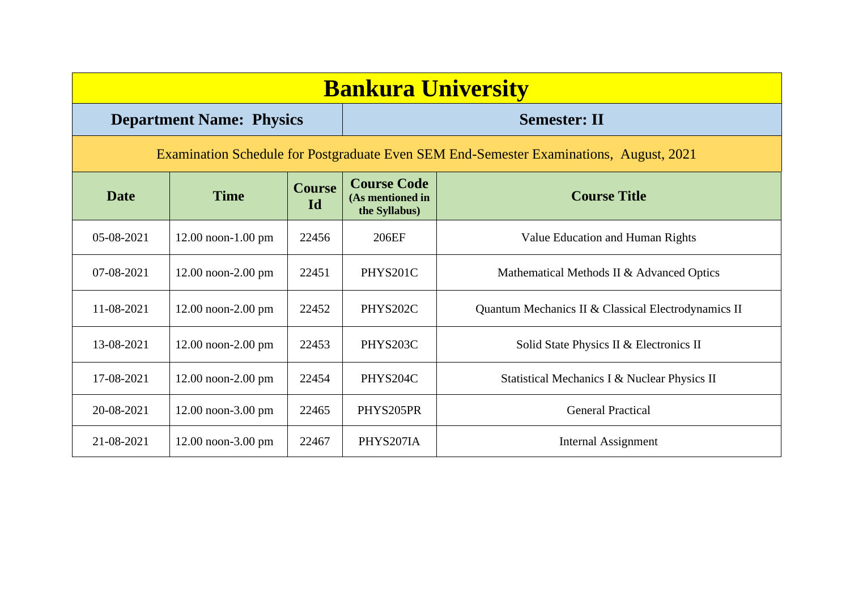| <b>Bankura University</b>                                                              |                                 |                     |                                                         |                                                     |  |  |  |
|----------------------------------------------------------------------------------------|---------------------------------|---------------------|---------------------------------------------------------|-----------------------------------------------------|--|--|--|
|                                                                                        | <b>Department Name: Physics</b> |                     |                                                         | <b>Semester: II</b>                                 |  |  |  |
| Examination Schedule for Postgraduate Even SEM End-Semester Examinations, August, 2021 |                                 |                     |                                                         |                                                     |  |  |  |
| <b>Date</b>                                                                            | <b>Time</b>                     | <b>Course</b><br>Id | <b>Course Code</b><br>(As mentioned in<br>the Syllabus) | <b>Course Title</b>                                 |  |  |  |
| 05-08-2021                                                                             | $12.00$ noon- $1.00$ pm         | 22456               | 206EF                                                   | Value Education and Human Rights                    |  |  |  |
| 07-08-2021                                                                             | 12.00 noon-2.00 pm              | 22451               | PHYS201C                                                | Mathematical Methods II & Advanced Optics           |  |  |  |
| $11 - 08 - 2021$                                                                       | $12.00$ noon- $2.00$ pm         | 22452               | PHYS202C                                                | Quantum Mechanics II & Classical Electrodynamics II |  |  |  |
| 13-08-2021                                                                             | $12.00$ noon- $2.00$ pm         | 22453               | PHYS203C                                                | Solid State Physics II & Electronics II             |  |  |  |
| 17-08-2021                                                                             | $12.00$ noon- $2.00$ pm         | 22454               | PHYS204C                                                | Statistical Mechanics I & Nuclear Physics II        |  |  |  |
| 20-08-2021                                                                             | $12.00$ noon-3.00 pm            | 22465               | PHYS205PR                                               | <b>General Practical</b>                            |  |  |  |
| 21-08-2021                                                                             | $12.00$ noon-3.00 pm            | 22467               | PHYS207IA                                               | Internal Assignment                                 |  |  |  |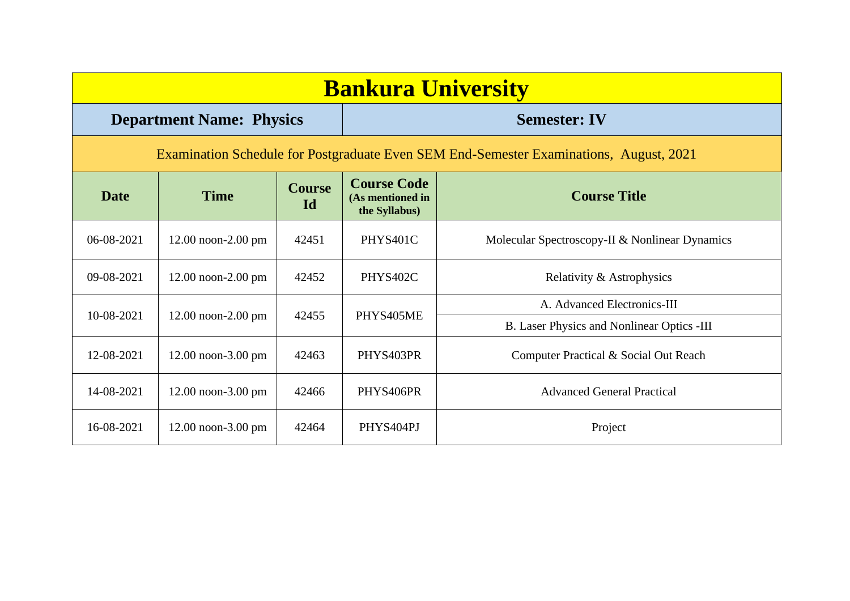| <b>Bankura University</b>                                                              |                                 |                     |                                                         |                                                |  |                             |  |
|----------------------------------------------------------------------------------------|---------------------------------|---------------------|---------------------------------------------------------|------------------------------------------------|--|-----------------------------|--|
|                                                                                        | <b>Department Name: Physics</b> |                     |                                                         | <b>Semester: IV</b>                            |  |                             |  |
| Examination Schedule for Postgraduate Even SEM End-Semester Examinations, August, 2021 |                                 |                     |                                                         |                                                |  |                             |  |
| <b>Date</b>                                                                            | <b>Time</b>                     | <b>Course</b><br>Id | <b>Course Code</b><br>(As mentioned in<br>the Syllabus) | <b>Course Title</b>                            |  |                             |  |
| $06-08-2021$                                                                           | $12.00$ noon- $2.00$ pm         | 42451               | PHYS401C                                                | Molecular Spectroscopy-II & Nonlinear Dynamics |  |                             |  |
| 09-08-2021                                                                             | $12.00$ noon- $2.00$ pm         | 42452               | PHYS402C                                                | Relativity & Astrophysics                      |  |                             |  |
|                                                                                        |                                 | 42455<br>PHYS405ME  |                                                         |                                                |  | A. Advanced Electronics-III |  |
| 10-08-2021                                                                             | $12.00$ noon- $2.00$ pm         |                     |                                                         | B. Laser Physics and Nonlinear Optics -III     |  |                             |  |
| 12-08-2021                                                                             | $12.00$ noon-3.00 pm            | 42463               | PHYS403PR                                               | Computer Practical & Social Out Reach          |  |                             |  |
| 14-08-2021                                                                             | $12.00$ noon-3.00 pm            | 42466               | PHYS406PR                                               | <b>Advanced General Practical</b>              |  |                             |  |
| 16-08-2021                                                                             | $12.00$ noon-3.00 pm            | 42464               | PHYS404PJ                                               | Project                                        |  |                             |  |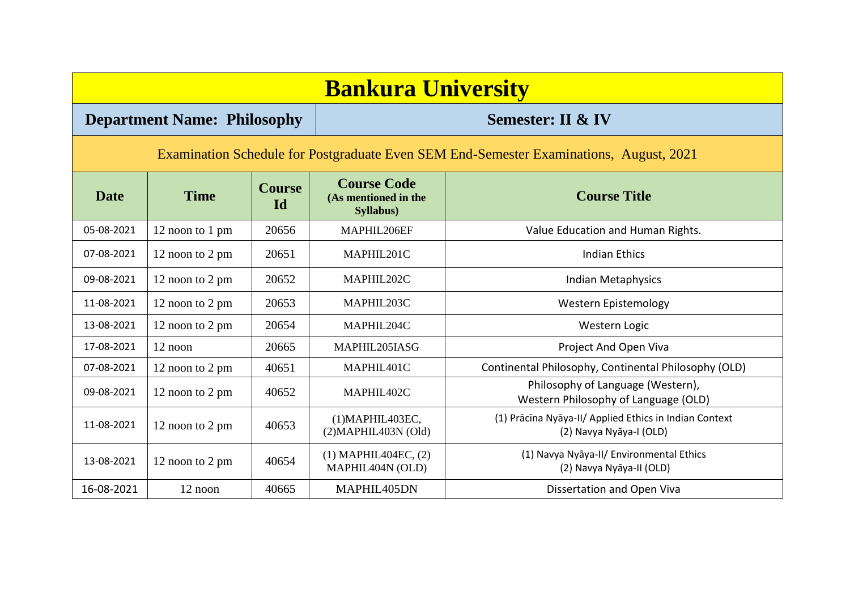| <b>Bankura University</b>                                                              |                                    |                     |                                                         |                                                                                   |  |  |  |  |  |
|----------------------------------------------------------------------------------------|------------------------------------|---------------------|---------------------------------------------------------|-----------------------------------------------------------------------------------|--|--|--|--|--|
|                                                                                        | <b>Department Name: Philosophy</b> |                     |                                                         | <b>Semester: II &amp; IV</b>                                                      |  |  |  |  |  |
| Examination Schedule for Postgraduate Even SEM End-Semester Examinations, August, 2021 |                                    |                     |                                                         |                                                                                   |  |  |  |  |  |
| <b>Date</b>                                                                            | <b>Time</b>                        | <b>Course</b><br>Id | <b>Course Code</b><br>(As mentioned in the<br>Syllabus) | <b>Course Title</b>                                                               |  |  |  |  |  |
| 05-08-2021                                                                             | 12 noon to 1 pm                    | 20656               | MAPHIL206EF                                             | Value Education and Human Rights.                                                 |  |  |  |  |  |
| 07-08-2021                                                                             | 12 noon to 2 pm                    | 20651               | MAPHIL201C                                              | <b>Indian Ethics</b>                                                              |  |  |  |  |  |
| 09-08-2021                                                                             | 12 noon to 2 pm                    | 20652               | MAPHIL202C                                              | Indian Metaphysics                                                                |  |  |  |  |  |
| 11-08-2021                                                                             | 12 noon to 2 pm                    | 20653               | MAPHIL203C                                              | <b>Western Epistemology</b>                                                       |  |  |  |  |  |
| 13-08-2021                                                                             | 12 noon to 2 pm                    | 20654               | MAPHIL204C                                              | Western Logic                                                                     |  |  |  |  |  |
| 17-08-2021                                                                             | 12 noon                            | 20665               | MAPHIL205IASG                                           | Project And Open Viva                                                             |  |  |  |  |  |
| 07-08-2021                                                                             | 12 noon to 2 pm                    | 40651               | MAPHIL401C                                              | Continental Philosophy, Continental Philosophy (OLD)                              |  |  |  |  |  |
| 09-08-2021                                                                             | 12 noon to 2 pm                    | 40652               | MAPHIL402C                                              | Philosophy of Language (Western),<br>Western Philosophy of Language (OLD)         |  |  |  |  |  |
| 11-08-2021                                                                             | 12 noon to 2 pm                    | 40653               | $(1)$ MAPHIL403EC,<br>(2)MAPHIL403N (Old)               | (1) Prācīna Nyāya-II/ Applied Ethics in Indian Context<br>(2) Navya Nyāya-I (OLD) |  |  |  |  |  |
| 13-08-2021                                                                             | 12 noon to 2 pm                    | 40654               | $(1)$ MAPHIL404EC, $(2)$<br>MAPHIL404N (OLD)            | (1) Navya Nyāya-II/ Environmental Ethics<br>(2) Navya Nyāya-II (OLD)              |  |  |  |  |  |
| 16-08-2021                                                                             | 12 noon                            | 40665               | MAPHIL405DN                                             | Dissertation and Open Viva                                                        |  |  |  |  |  |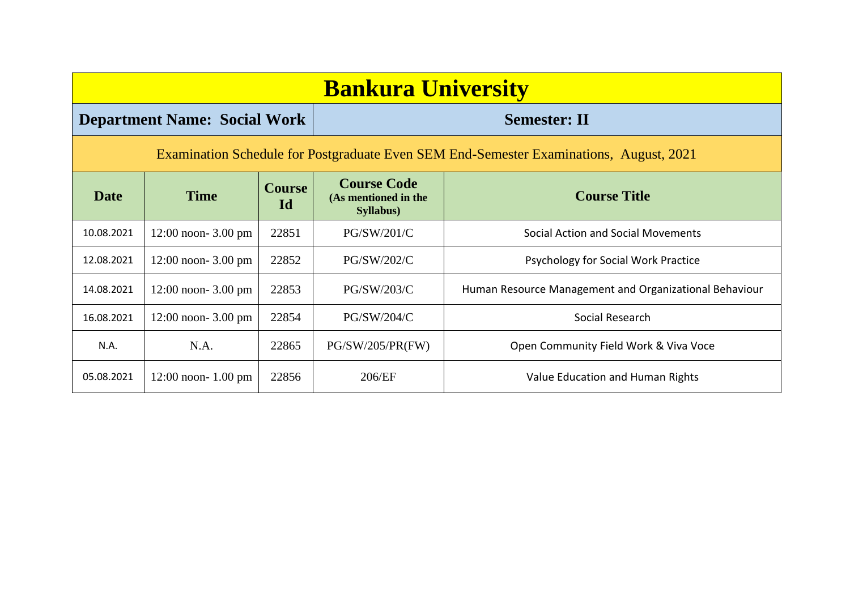| <b>Bankura University</b>                                                              |                                     |                     |                                                         |                                                        |  |  |  |
|----------------------------------------------------------------------------------------|-------------------------------------|---------------------|---------------------------------------------------------|--------------------------------------------------------|--|--|--|
|                                                                                        | <b>Department Name: Social Work</b> |                     |                                                         | <b>Semester: II</b>                                    |  |  |  |
| Examination Schedule for Postgraduate Even SEM End-Semester Examinations, August, 2021 |                                     |                     |                                                         |                                                        |  |  |  |
| Date                                                                                   | <b>Time</b>                         | <b>Course</b><br>Id | <b>Course Code</b><br>(As mentioned in the<br>Syllabus) | <b>Course Title</b>                                    |  |  |  |
| 10.08.2021                                                                             | $12:00$ noon- 3.00 pm               | 22851               | PG/SW/201/C                                             | Social Action and Social Movements                     |  |  |  |
| 12.08.2021                                                                             | $12:00$ noon- 3.00 pm               | 22852               | PG/SW/202/C                                             | Psychology for Social Work Practice                    |  |  |  |
| 14.08.2021                                                                             | $12:00$ noon- 3.00 pm               | 22853               | PG/SW/203/C                                             | Human Resource Management and Organizational Behaviour |  |  |  |
| 16.08.2021                                                                             | $12:00$ noon- 3.00 pm               | 22854               | PG/SW/204/C                                             | Social Research                                        |  |  |  |
| N.A.                                                                                   | N.A.                                | 22865               | PG/SW/205/PR(FW)                                        | Open Community Field Work & Viva Voce                  |  |  |  |
| 05.08.2021                                                                             | $12:00$ noon- $1.00$ pm             | 22856               | 206/EF                                                  | Value Education and Human Rights                       |  |  |  |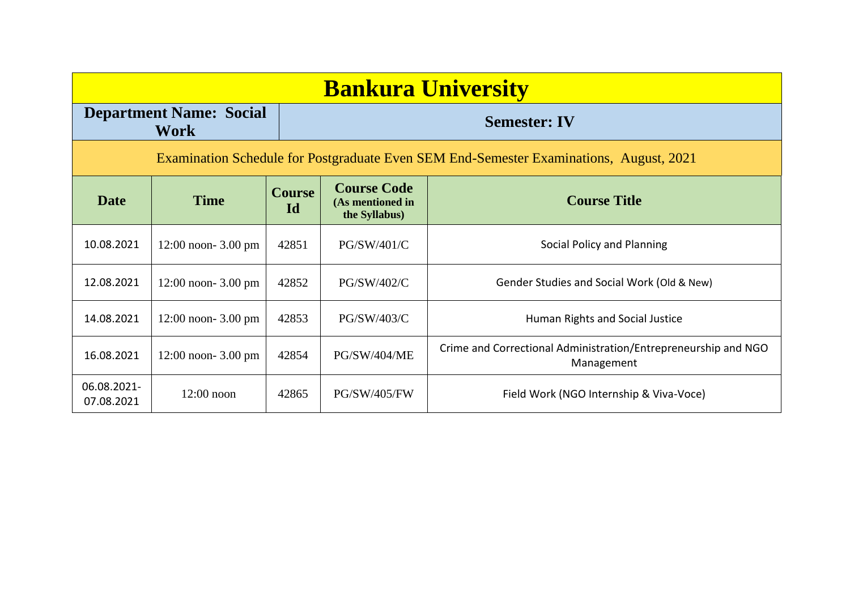| <b>Bankura University</b> |                                               |                     |                                                         |                                                                                        |  |
|---------------------------|-----------------------------------------------|---------------------|---------------------------------------------------------|----------------------------------------------------------------------------------------|--|
|                           | <b>Department Name: Social</b><br><b>Work</b> |                     |                                                         | <b>Semester: IV</b>                                                                    |  |
|                           |                                               |                     |                                                         | Examination Schedule for Postgraduate Even SEM End-Semester Examinations, August, 2021 |  |
| <b>Date</b>               | <b>Time</b>                                   | <b>Course</b><br>Id | <b>Course Code</b><br>(As mentioned in<br>the Syllabus) | <b>Course Title</b>                                                                    |  |
| 10.08.2021                | $12:00$ noon- 3.00 pm                         | 42851               | PG/SW/401/C                                             | Social Policy and Planning                                                             |  |
| 12.08.2021                | $12:00$ noon- 3.00 pm                         | 42852               | PG/SW/402/C                                             | Gender Studies and Social Work (Old & New)                                             |  |
| 14.08.2021                | $12:00$ noon- 3.00 pm                         | 42853               | PG/SW/403/C                                             | Human Rights and Social Justice                                                        |  |
| 16.08.2021                | $12:00$ noon- 3.00 pm                         | 42854               | PG/SW/404/ME                                            | Crime and Correctional Administration/Entrepreneurship and NGO<br>Management           |  |
| 06.08.2021-<br>07.08.2021 | $12:00$ noon                                  | 42865               | <b>PG/SW/405/FW</b>                                     | Field Work (NGO Internship & Viva-Voce)                                                |  |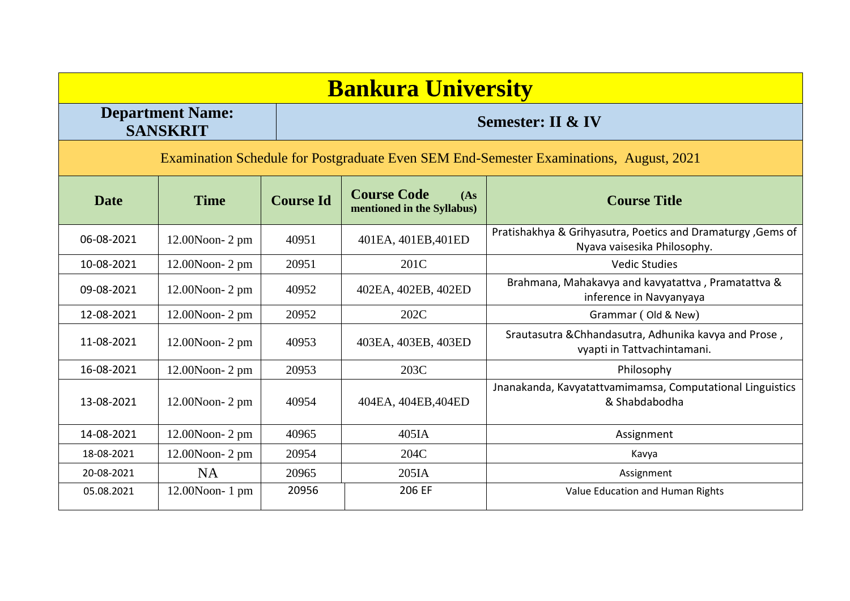|             | <b>Bankura University</b>                                                              |                  |                                                          |                                                                                            |  |  |  |
|-------------|----------------------------------------------------------------------------------------|------------------|----------------------------------------------------------|--------------------------------------------------------------------------------------------|--|--|--|
|             | <b>Department Name:</b><br><b>SANSKRIT</b>                                             |                  | <b>Semester: II &amp; IV</b>                             |                                                                                            |  |  |  |
|             | Examination Schedule for Postgraduate Even SEM End-Semester Examinations, August, 2021 |                  |                                                          |                                                                                            |  |  |  |
| <b>Date</b> | <b>Time</b>                                                                            | <b>Course Id</b> | <b>Course Code</b><br>(As)<br>mentioned in the Syllabus) | <b>Course Title</b>                                                                        |  |  |  |
| 06-08-2021  | $12.00N$ oon- $2$ pm                                                                   | 40951            | 401EA, 401EB, 401ED                                      | Pratishakhya & Grihyasutra, Poetics and Dramaturgy, Gems of<br>Nyava vaisesika Philosophy. |  |  |  |
| 10-08-2021  | $12.00N$ oon- $2$ pm                                                                   | 20951            | 201C                                                     | <b>Vedic Studies</b>                                                                       |  |  |  |
| 09-08-2021  | 12.00Noon-2 pm                                                                         | 40952            | 402EA, 402EB, 402ED                                      | Brahmana, Mahakavya and kavyatattva, Pramatattva &<br>inference in Navyanyaya              |  |  |  |
| 12-08-2021  | $12.00N$ oon- $2$ pm                                                                   | 20952            | 202C                                                     | Grammar (Old & New)                                                                        |  |  |  |
| 11-08-2021  | $12.00N$ oon- $2$ pm                                                                   | 40953            | 403EA, 403EB, 403ED                                      | Srautasutra & Chhandasutra, Adhunika kavya and Prose,<br>vyapti in Tattvachintamani.       |  |  |  |
| 16-08-2021  | 12.00Noon-2 pm                                                                         | 20953            | 203C                                                     | Philosophy                                                                                 |  |  |  |
| 13-08-2021  | $12.00N$ oon- $2$ pm                                                                   | 40954            | 404EA, 404EB, 404ED                                      | Jnanakanda, Kavyatattvamimamsa, Computational Linguistics<br>& Shabdabodha                 |  |  |  |
| 14-08-2021  | 12.00Noon-2 pm                                                                         | 40965            | 405IA                                                    | Assignment                                                                                 |  |  |  |
| 18-08-2021  | 12.00Noon-2 pm                                                                         | 20954            | 204C                                                     | Kavya                                                                                      |  |  |  |
| 20-08-2021  | <b>NA</b>                                                                              | 20965            | 205IA                                                    | Assignment                                                                                 |  |  |  |
| 05.08.2021  | $12.00N$ oon-1 pm                                                                      | 20956            | 206 EF                                                   | Value Education and Human Rights                                                           |  |  |  |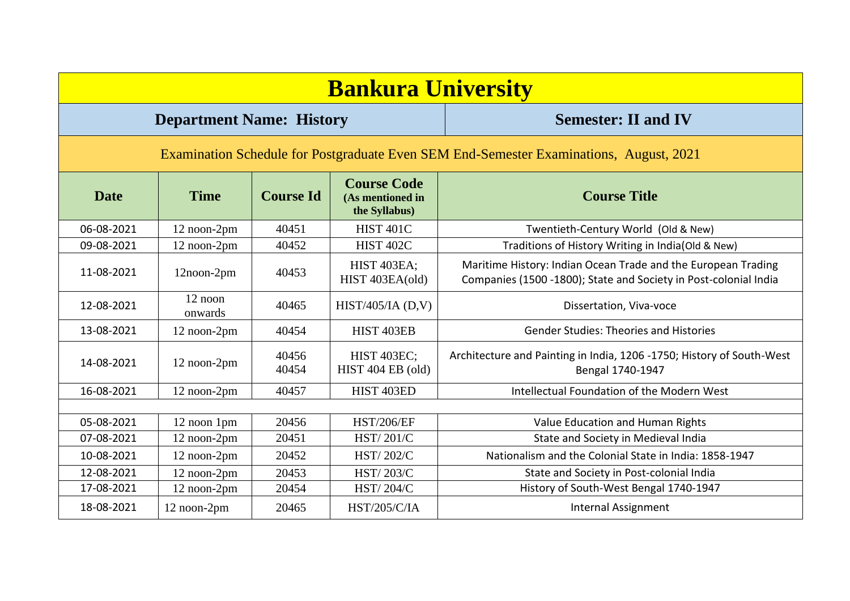| <b>Bankura University</b>                                                              |                                 |                  |                                                         |                                                                                                                                   |  |  |  |
|----------------------------------------------------------------------------------------|---------------------------------|------------------|---------------------------------------------------------|-----------------------------------------------------------------------------------------------------------------------------------|--|--|--|
|                                                                                        | <b>Department Name: History</b> |                  |                                                         | <b>Semester: II and IV</b>                                                                                                        |  |  |  |
| Examination Schedule for Postgraduate Even SEM End-Semester Examinations, August, 2021 |                                 |                  |                                                         |                                                                                                                                   |  |  |  |
| <b>Date</b>                                                                            | <b>Time</b>                     | <b>Course Id</b> | <b>Course Code</b><br>(As mentioned in<br>the Syllabus) | <b>Course Title</b>                                                                                                               |  |  |  |
| 06-08-2021                                                                             | 12 noon-2pm                     | 40451            | <b>HIST 401C</b>                                        | Twentieth-Century World (Old & New)                                                                                               |  |  |  |
| 09-08-2021                                                                             | 12 noon-2pm                     | 40452            | <b>HIST 402C</b>                                        | Traditions of History Writing in India(Old & New)                                                                                 |  |  |  |
| 11-08-2021                                                                             | 12noon-2pm                      | 40453            | <b>HIST 403EA;</b><br>HIST 403EA(old)                   | Maritime History: Indian Ocean Trade and the European Trading<br>Companies (1500 -1800); State and Society in Post-colonial India |  |  |  |
| 12-08-2021                                                                             | 12 noon<br>onwards              | 40465            | HIST/405/IA $(D,V)$                                     | Dissertation, Viva-voce                                                                                                           |  |  |  |
| 13-08-2021                                                                             | 12 noon-2pm                     | 40454            | HIST 403EB                                              | <b>Gender Studies: Theories and Histories</b>                                                                                     |  |  |  |
| 14-08-2021                                                                             | 12 noon-2pm                     | 40456<br>40454   | <b>HIST 403EC;</b><br>HIST 404 EB (old)                 | Architecture and Painting in India, 1206 -1750; History of South-West<br>Bengal 1740-1947                                         |  |  |  |
| 16-08-2021                                                                             | 12 noon-2pm                     | 40457            | HIST 403ED                                              | Intellectual Foundation of the Modern West                                                                                        |  |  |  |
|                                                                                        |                                 |                  |                                                         |                                                                                                                                   |  |  |  |
| 05-08-2021                                                                             | 12 noon 1pm                     | 20456            | <b>HST/206/EF</b>                                       | Value Education and Human Rights                                                                                                  |  |  |  |
| 07-08-2021                                                                             | 12 noon-2pm                     | 20451            | HST/201/C                                               | State and Society in Medieval India                                                                                               |  |  |  |
| 10-08-2021                                                                             | 12 noon-2pm                     | 20452            | <b>HST/202/C</b>                                        | Nationalism and the Colonial State in India: 1858-1947                                                                            |  |  |  |
| 12-08-2021                                                                             | 12 noon-2pm                     | 20453            | HST/203/C                                               | State and Society in Post-colonial India                                                                                          |  |  |  |
| 17-08-2021                                                                             | 12 noon-2pm                     | 20454            | HST/204/C                                               | History of South-West Bengal 1740-1947                                                                                            |  |  |  |
| 18-08-2021                                                                             | 12 noon-2pm                     | 20465            | <b>HST/205/C/IA</b>                                     | <b>Internal Assignment</b>                                                                                                        |  |  |  |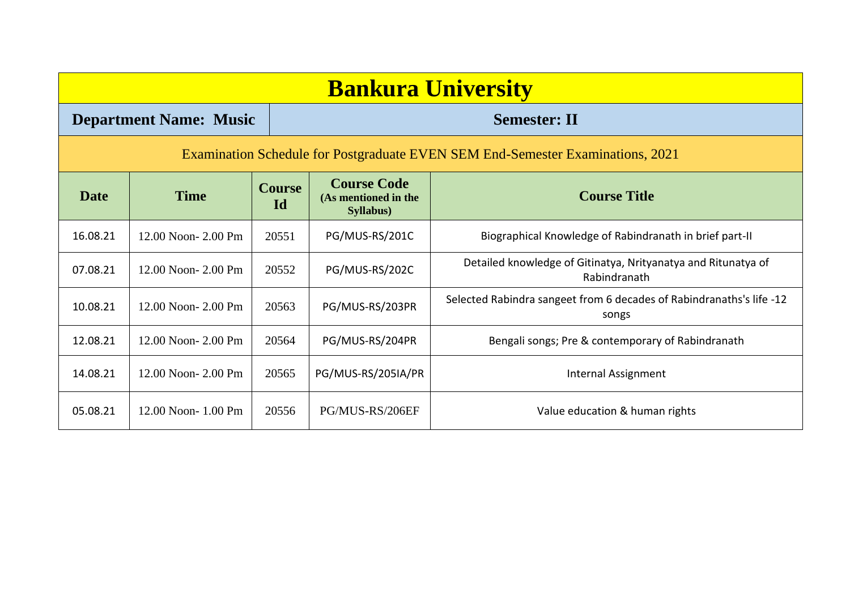|             | <b>Bankura University</b>     |                     |                                                                 |                                                                                |  |  |  |  |
|-------------|-------------------------------|---------------------|-----------------------------------------------------------------|--------------------------------------------------------------------------------|--|--|--|--|
|             | <b>Department Name: Music</b> |                     |                                                                 | <b>Semester: II</b>                                                            |  |  |  |  |
|             |                               |                     |                                                                 | Examination Schedule for Postgraduate EVEN SEM End-Semester Examinations, 2021 |  |  |  |  |
| <b>Date</b> | <b>Time</b>                   | <b>Course</b><br>Id | <b>Course Code</b><br>(As mentioned in the<br><b>Syllabus</b> ) | <b>Course Title</b>                                                            |  |  |  |  |
| 16.08.21    | 12.00 Noon-2.00 Pm            | 20551               | PG/MUS-RS/201C                                                  | Biographical Knowledge of Rabindranath in brief part-II                        |  |  |  |  |
| 07.08.21    | 12.00 Noon- 2.00 Pm           | 20552               | PG/MUS-RS/202C                                                  | Detailed knowledge of Gitinatya, Nrityanatya and Ritunatya of<br>Rabindranath  |  |  |  |  |
| 10.08.21    | 12.00 Noon- 2.00 Pm           | 20563               | PG/MUS-RS/203PR                                                 | Selected Rabindra sangeet from 6 decades of Rabindranaths's life -12<br>songs  |  |  |  |  |
| 12.08.21    | 12.00 Noon- 2.00 Pm           | 20564               | PG/MUS-RS/204PR                                                 | Bengali songs; Pre & contemporary of Rabindranath                              |  |  |  |  |
| 14.08.21    | 12.00 Noon- 2.00 Pm           | 20565               | PG/MUS-RS/205IA/PR                                              | Internal Assignment                                                            |  |  |  |  |
| 05.08.21    | 12.00 Noon-1.00 Pm            | 20556               | PG/MUS-RS/206EF                                                 | Value education & human rights                                                 |  |  |  |  |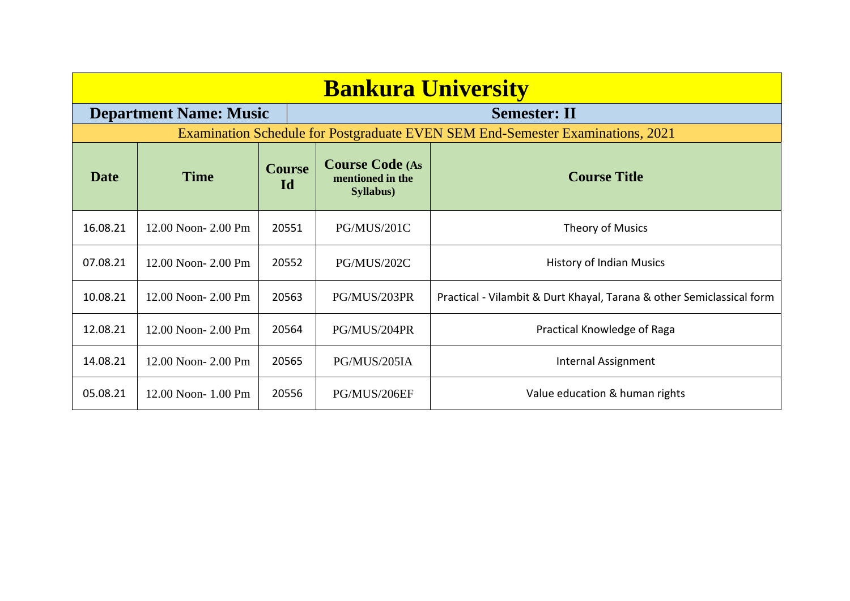| <b>Bankura University</b> |                               |                     |                                                                 |                                                                                |  |
|---------------------------|-------------------------------|---------------------|-----------------------------------------------------------------|--------------------------------------------------------------------------------|--|
|                           | <b>Department Name: Music</b> |                     |                                                                 | <b>Semester: II</b>                                                            |  |
|                           |                               |                     |                                                                 | Examination Schedule for Postgraduate EVEN SEM End-Semester Examinations, 2021 |  |
| <b>Date</b>               | <b>Time</b>                   | <b>Course</b><br>Id | <b>Course Code (As</b><br>mentioned in the<br><b>Syllabus</b> ) | <b>Course Title</b>                                                            |  |
| 16.08.21                  | 12.00 Noon-2.00 Pm            | 20551               | PG/MUS/201C                                                     | Theory of Musics                                                               |  |
| 07.08.21                  | 12.00 Noon-2.00 Pm            | 20552               | PG/MUS/202C                                                     | <b>History of Indian Musics</b>                                                |  |
| 10.08.21                  | 12.00 Noon-2.00 Pm            | 20563               | PG/MUS/203PR                                                    | Practical - Vilambit & Durt Khayal, Tarana & other Semiclassical form          |  |
| 12.08.21                  | 12.00 Noon-2.00 Pm            | 20564               | PG/MUS/204PR                                                    | Practical Knowledge of Raga                                                    |  |
| 14.08.21                  | 12.00 Noon-2.00 Pm            | 20565               | PG/MUS/205IA                                                    | Internal Assignment                                                            |  |
| 05.08.21                  | 12.00 Noon-1.00 Pm            | 20556               | PG/MUS/206EF                                                    | Value education & human rights                                                 |  |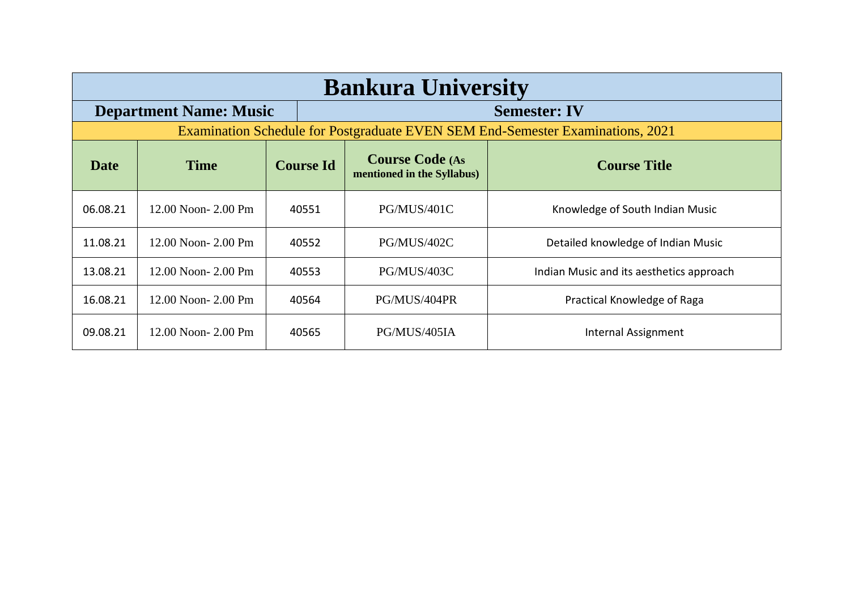|             | <b>Bankura University</b>     |                  |                                                      |                                                                                |  |  |  |
|-------------|-------------------------------|------------------|------------------------------------------------------|--------------------------------------------------------------------------------|--|--|--|
|             | <b>Department Name: Music</b> |                  |                                                      | <b>Semester: IV</b>                                                            |  |  |  |
|             |                               |                  |                                                      | Examination Schedule for Postgraduate EVEN SEM End-Semester Examinations, 2021 |  |  |  |
| <b>Date</b> | <b>Time</b>                   | <b>Course Id</b> | <b>Course Code (As</b><br>mentioned in the Syllabus) | <b>Course Title</b>                                                            |  |  |  |
| 06.08.21    | 12.00 Noon- 2.00 Pm           | 40551            | PG/MUS/401C                                          | Knowledge of South Indian Music                                                |  |  |  |
| 11.08.21    | 12.00 Noon-2.00 Pm            | 40552            | PG/MUS/402C                                          | Detailed knowledge of Indian Music                                             |  |  |  |
| 13.08.21    | 12.00 Noon- 2.00 Pm           | 40553            | PG/MUS/403C                                          | Indian Music and its aesthetics approach                                       |  |  |  |
| 16.08.21    | 12.00 Noon- 2.00 Pm           | 40564            | PG/MUS/404PR                                         | Practical Knowledge of Raga                                                    |  |  |  |
| 09.08.21    | 12.00 Noon-2.00 Pm            | 40565            | PG/MUS/405IA                                         | Internal Assignment                                                            |  |  |  |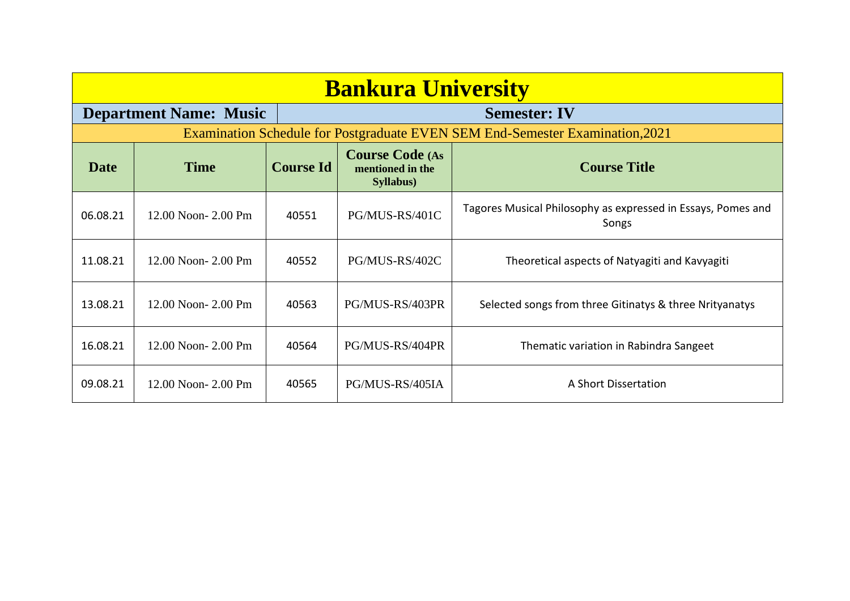| <b>Bankura University</b> |                                                      |                  |                                                                 |                                                                               |  |  |
|---------------------------|------------------------------------------------------|------------------|-----------------------------------------------------------------|-------------------------------------------------------------------------------|--|--|
|                           | <b>Department Name: Music</b><br><b>Semester: IV</b> |                  |                                                                 |                                                                               |  |  |
|                           |                                                      |                  |                                                                 | Examination Schedule for Postgraduate EVEN SEM End-Semester Examination, 2021 |  |  |
| <b>Date</b>               | <b>Time</b>                                          | <b>Course Id</b> | <b>Course Code (As</b><br>mentioned in the<br><b>Syllabus</b> ) | <b>Course Title</b>                                                           |  |  |
| 06.08.21                  | 12.00 Noon-2.00 Pm                                   | 40551            | PG/MUS-RS/401C                                                  | Tagores Musical Philosophy as expressed in Essays, Pomes and<br>Songs         |  |  |
| 11.08.21                  | 12.00 Noon- 2.00 Pm                                  | 40552            | PG/MUS-RS/402C                                                  | Theoretical aspects of Natyagiti and Kavyagiti                                |  |  |
| 13.08.21                  | $12.00$ Noon- $2.00$ Pm                              | 40563            | PG/MUS-RS/403PR                                                 | Selected songs from three Gitinatys & three Nrityanatys                       |  |  |
| 16.08.21                  | 12.00 Noon-2.00 Pm                                   | 40564            | PG/MUS-RS/404PR                                                 | Thematic variation in Rabindra Sangeet                                        |  |  |
| 09.08.21                  | 12.00 Noon-2.00 Pm                                   | 40565            | PG/MUS-RS/405IA                                                 | A Short Dissertation                                                          |  |  |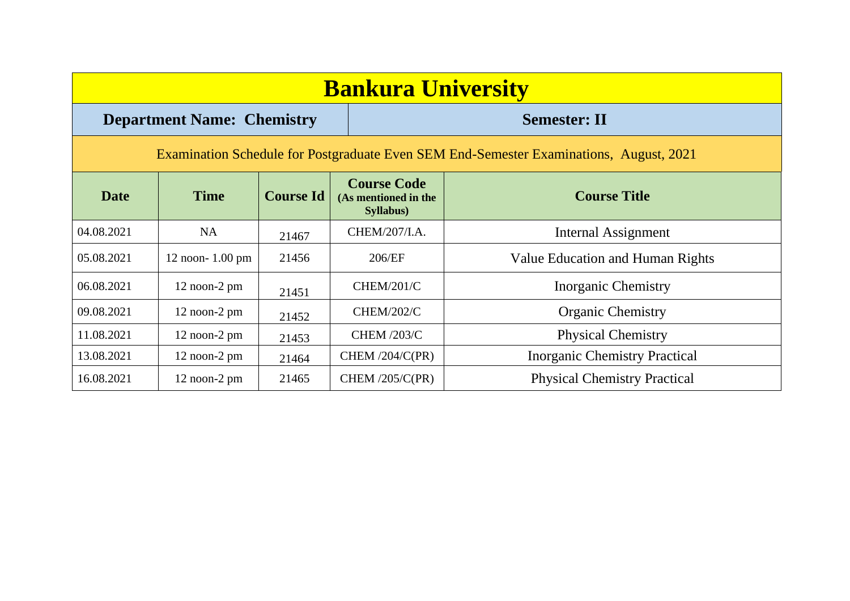| <b>Bankura University</b>                                                              |                      |                  |                                                         |                                         |  |  |
|----------------------------------------------------------------------------------------|----------------------|------------------|---------------------------------------------------------|-----------------------------------------|--|--|
| <b>Semester: II</b><br><b>Department Name: Chemistry</b>                               |                      |                  |                                                         |                                         |  |  |
| Examination Schedule for Postgraduate Even SEM End-Semester Examinations, August, 2021 |                      |                  |                                                         |                                         |  |  |
| <b>Date</b>                                                                            | <b>Time</b>          | <b>Course Id</b> | <b>Course Code</b><br>(As mentioned in the<br>Syllabus) | <b>Course Title</b>                     |  |  |
| 04.08.2021                                                                             | <b>NA</b>            | 21467            | CHEM/207/I.A.                                           | Internal Assignment                     |  |  |
| 05.08.2021                                                                             | $12$ noon- $1.00$ pm | 21456            | 206/EF                                                  | <b>Value Education and Human Rights</b> |  |  |
| 06.08.2021                                                                             | $12$ noon- $2$ pm    | 21451            | <b>CHEM/201/C</b>                                       | <b>Inorganic Chemistry</b>              |  |  |
| 09.08.2021                                                                             | $12$ noon- $2$ pm    | 21452            | <b>CHEM/202/C</b>                                       | <b>Organic Chemistry</b>                |  |  |
| 11.08.2021                                                                             | $12$ noon- $2$ pm    | 21453            | <b>CHEM /203/C</b>                                      | <b>Physical Chemistry</b>               |  |  |
| 13.08.2021                                                                             | $12$ noon- $2$ pm    | 21464            | CHEM $/204/C(PR)$                                       | <b>Inorganic Chemistry Practical</b>    |  |  |
| 16.08.2021                                                                             | $12$ noon- $2$ pm    | 21465            | CHEM $/205/C(PR)$                                       | <b>Physical Chemistry Practical</b>     |  |  |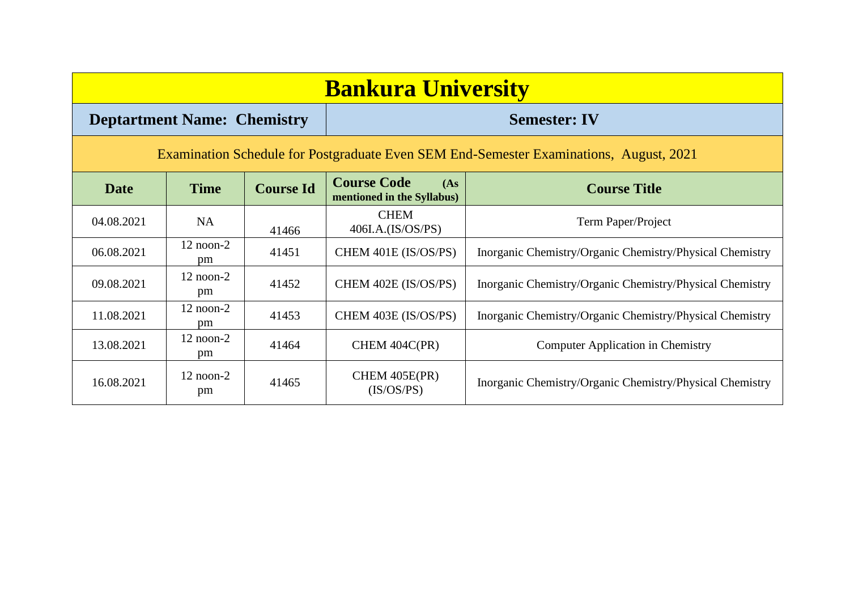| <b>Bankura University</b> |                                                                                        |                  |                                                          |                                                          |  |  |  |
|---------------------------|----------------------------------------------------------------------------------------|------------------|----------------------------------------------------------|----------------------------------------------------------|--|--|--|
|                           | <b>Deptartment Name: Chemistry</b>                                                     |                  | <b>Semester: IV</b>                                      |                                                          |  |  |  |
|                           | Examination Schedule for Postgraduate Even SEM End-Semester Examinations, August, 2021 |                  |                                                          |                                                          |  |  |  |
| <b>Date</b>               | <b>Time</b>                                                                            | <b>Course Id</b> | <b>Course Code</b><br>(As)<br>mentioned in the Syllabus) | <b>Course Title</b>                                      |  |  |  |
| 04.08.2021                | NA                                                                                     | 41466            | <b>CHEM</b><br>406I.A.(IS/OS/PS)                         | Term Paper/Project                                       |  |  |  |
| 06.08.2021                | $12$ noon- $2$<br>pm                                                                   | 41451            | CHEM 401E (IS/OS/PS)                                     | Inorganic Chemistry/Organic Chemistry/Physical Chemistry |  |  |  |
| 09.08.2021                | $12$ noon- $2$<br>pm                                                                   | 41452            | CHEM 402E (IS/OS/PS)                                     | Inorganic Chemistry/Organic Chemistry/Physical Chemistry |  |  |  |
| 11.08.2021                | $12$ noon- $2$<br>pm                                                                   | 41453            | CHEM 403E (IS/OS/PS)                                     | Inorganic Chemistry/Organic Chemistry/Physical Chemistry |  |  |  |
| 13.08.2021                | $12$ noon- $2$<br>pm                                                                   | 41464            | CHEM 404C(PR)                                            | <b>Computer Application in Chemistry</b>                 |  |  |  |
| 16.08.2021                | $12$ noon- $2$<br>pm                                                                   | 41465            | CHEM 405E(PR)<br>(IS/OS/PS)                              | Inorganic Chemistry/Organic Chemistry/Physical Chemistry |  |  |  |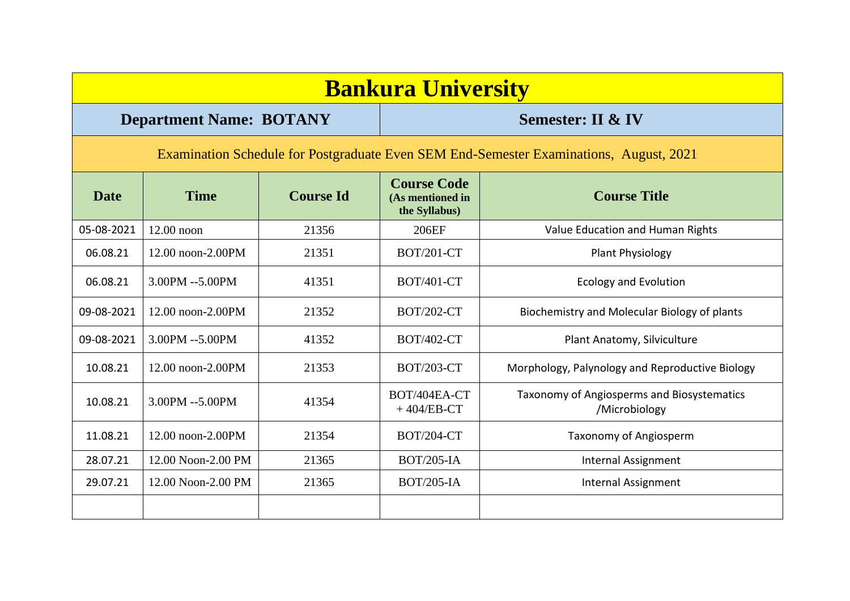|             | <b>Bankura University</b>                                                              |                  |                                                         |                                                             |  |  |  |  |
|-------------|----------------------------------------------------------------------------------------|------------------|---------------------------------------------------------|-------------------------------------------------------------|--|--|--|--|
|             | <b>Department Name: BOTANY</b>                                                         |                  | <b>Semester: II &amp; IV</b>                            |                                                             |  |  |  |  |
|             | Examination Schedule for Postgraduate Even SEM End-Semester Examinations, August, 2021 |                  |                                                         |                                                             |  |  |  |  |
| <b>Date</b> | <b>Time</b>                                                                            | <b>Course Id</b> | <b>Course Code</b><br>(As mentioned in<br>the Syllabus) | <b>Course Title</b>                                         |  |  |  |  |
| 05-08-2021  | $12.00$ noon                                                                           | 21356            | 206EF                                                   | Value Education and Human Rights                            |  |  |  |  |
| 06.08.21    | 12.00 noon-2.00PM                                                                      | 21351            | <b>BOT/201-CT</b>                                       | Plant Physiology                                            |  |  |  |  |
| 06.08.21    | 3.00PM --5.00PM                                                                        | 41351            | <b>BOT/401-CT</b>                                       | <b>Ecology and Evolution</b>                                |  |  |  |  |
| 09-08-2021  | 12.00 noon-2.00PM                                                                      | 21352            | <b>BOT/202-CT</b>                                       | Biochemistry and Molecular Biology of plants                |  |  |  |  |
| 09-08-2021  | 3.00PM --5.00PM                                                                        | 41352            | <b>BOT/402-CT</b>                                       | Plant Anatomy, Silviculture                                 |  |  |  |  |
| 10.08.21    | 12.00 noon-2.00PM                                                                      | 21353            | <b>BOT/203-CT</b>                                       | Morphology, Palynology and Reproductive Biology             |  |  |  |  |
| 10.08.21    | 3.00PM --5.00PM                                                                        | 41354            | BOT/404EA-CT<br>$+404/EB-CT$                            | Taxonomy of Angiosperms and Biosystematics<br>/Microbiology |  |  |  |  |
| 11.08.21    | 12.00 noon-2.00PM                                                                      | 21354            | <b>BOT/204-CT</b>                                       | Taxonomy of Angiosperm                                      |  |  |  |  |
| 28.07.21    | 12.00 Noon-2.00 PM                                                                     | 21365            | <b>BOT/205-IA</b>                                       | <b>Internal Assignment</b>                                  |  |  |  |  |
| 29.07.21    | 12.00 Noon-2.00 PM                                                                     | 21365            | <b>BOT/205-IA</b>                                       | Internal Assignment                                         |  |  |  |  |
|             |                                                                                        |                  |                                                         |                                                             |  |  |  |  |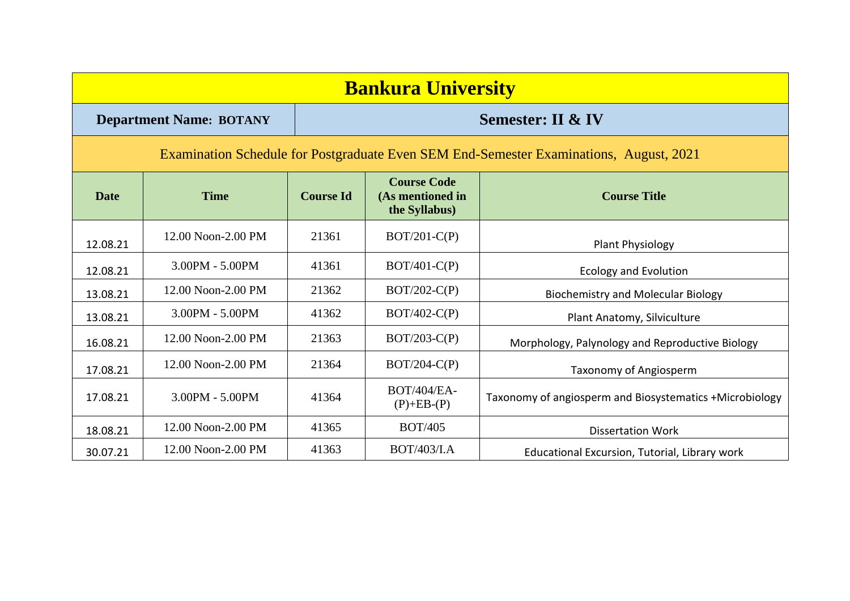|             | <b>Bankura University</b>                                                              |                  |                                                         |                                                         |  |  |  |  |
|-------------|----------------------------------------------------------------------------------------|------------------|---------------------------------------------------------|---------------------------------------------------------|--|--|--|--|
|             | <b>Department Name: BOTANY</b>                                                         |                  | <b>Semester: II &amp; IV</b>                            |                                                         |  |  |  |  |
|             | Examination Schedule for Postgraduate Even SEM End-Semester Examinations, August, 2021 |                  |                                                         |                                                         |  |  |  |  |
| <b>Date</b> | <b>Time</b>                                                                            | <b>Course Id</b> | <b>Course Code</b><br>(As mentioned in<br>the Syllabus) | <b>Course Title</b>                                     |  |  |  |  |
| 12.08.21    | 12.00 Noon-2.00 PM                                                                     | 21361            | $BOT/201-C(P)$                                          | <b>Plant Physiology</b>                                 |  |  |  |  |
| 12.08.21    | 3.00PM - 5.00PM                                                                        | 41361            | $BOT/401-C(P)$                                          | <b>Ecology and Evolution</b>                            |  |  |  |  |
| 13.08.21    | 12.00 Noon-2.00 PM                                                                     | 21362            | $BOT/202-C(P)$                                          | <b>Biochemistry and Molecular Biology</b>               |  |  |  |  |
| 13.08.21    | 3.00PM - 5.00PM                                                                        | 41362            | $BOT/402-C(P)$                                          | Plant Anatomy, Silviculture                             |  |  |  |  |
| 16.08.21    | 12.00 Noon-2.00 PM                                                                     | 21363            | $BOT/203-C(P)$                                          | Morphology, Palynology and Reproductive Biology         |  |  |  |  |
| 17.08.21    | 12.00 Noon-2.00 PM                                                                     | 21364            | $BOT/204-C(P)$                                          | Taxonomy of Angiosperm                                  |  |  |  |  |
| 17.08.21    | 3.00PM - 5.00PM                                                                        | 41364            | <b>BOT/404/EA-</b><br>$(P)+EB-(P)$                      | Taxonomy of angiosperm and Biosystematics +Microbiology |  |  |  |  |
| 18.08.21    | 12.00 Noon-2.00 PM                                                                     | 41365            | <b>BOT/405</b>                                          | <b>Dissertation Work</b>                                |  |  |  |  |
| 30.07.21    | 12.00 Noon-2.00 PM                                                                     | 41363            | <b>BOT/403/I.A</b>                                      | Educational Excursion, Tutorial, Library work           |  |  |  |  |